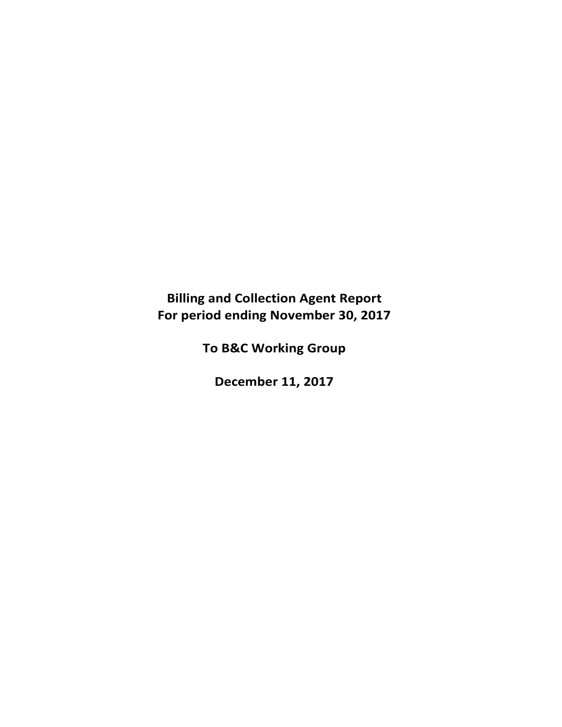# **Billing and Collection Agent Report For period ending November 30, 2017**

**To B&C Working Group**

**December 11, 2017**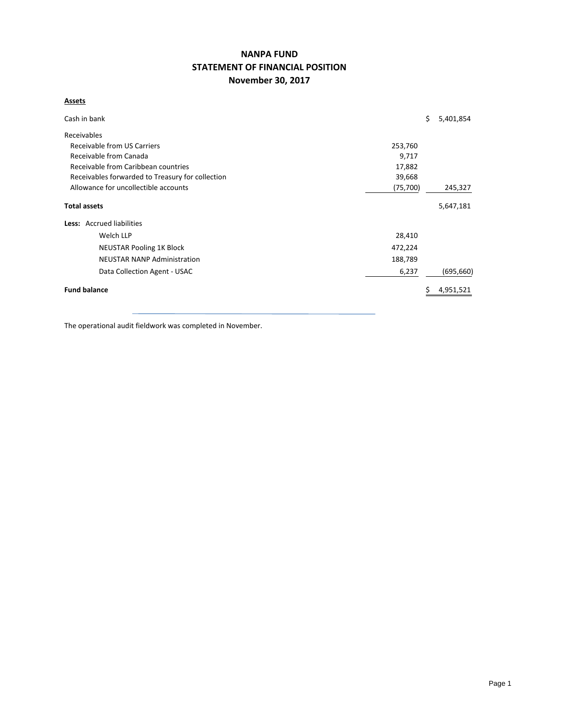## **NANPA FUND STATEMENT OF FINANCIAL POSITION November 30, 2017**

### **Assets**

| Cash in bank                                               |           | \$ | 5,401,854  |  |  |  |  |  |
|------------------------------------------------------------|-----------|----|------------|--|--|--|--|--|
| Receivables                                                |           |    |            |  |  |  |  |  |
| Receivable from US Carriers<br>253,760                     |           |    |            |  |  |  |  |  |
| Receivable from Canada<br>9,717                            |           |    |            |  |  |  |  |  |
| Receivable from Caribbean countries<br>17,882              |           |    |            |  |  |  |  |  |
| Receivables forwarded to Treasury for collection<br>39,668 |           |    |            |  |  |  |  |  |
| Allowance for uncollectible accounts                       | (75, 700) |    | 245,327    |  |  |  |  |  |
| <b>Total assets</b>                                        |           |    | 5,647,181  |  |  |  |  |  |
| Less: Accrued liabilities                                  |           |    |            |  |  |  |  |  |
| Welch LLP                                                  | 28,410    |    |            |  |  |  |  |  |
| <b>NEUSTAR Pooling 1K Block</b>                            | 472,224   |    |            |  |  |  |  |  |
| <b>NEUSTAR NANP Administration</b>                         | 188,789   |    |            |  |  |  |  |  |
| Data Collection Agent - USAC                               | 6,237     |    | (695, 660) |  |  |  |  |  |
| <b>Fund balance</b>                                        |           |    | 4,951,521  |  |  |  |  |  |

The operational audit fieldwork was completed in November.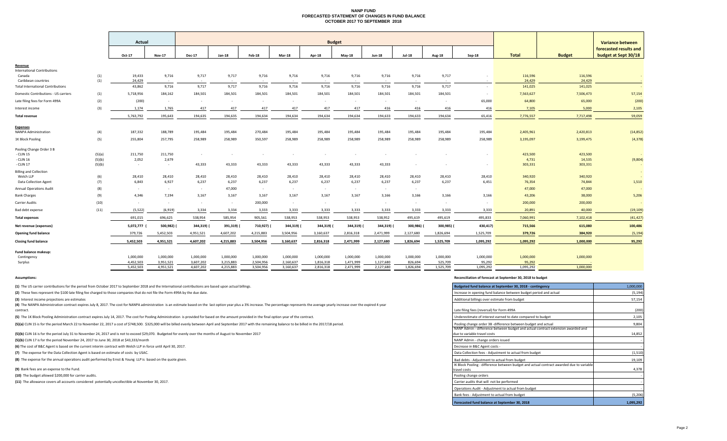#### **NANP FUND FORECASTED STATEMENT OF CHANGES IN FUND BALANCE OCTOBER 2017 TO SEPTEMBER 2018**

|                            |                                |                                         |                                        |                              |                              |                              |                              | <b>Budget</b>                |                              |                              |                            |                                                      |                             |                                        | <b>Variance between</b>                        |
|----------------------------|--------------------------------|-----------------------------------------|----------------------------------------|------------------------------|------------------------------|------------------------------|------------------------------|------------------------------|------------------------------|------------------------------|----------------------------|------------------------------------------------------|-----------------------------|----------------------------------------|------------------------------------------------|
|                            | Oct-17                         | <b>Nov-17</b>                           | <b>Dec-17</b>                          | $Jan-18$                     | Feb-18                       | Mar-18                       | Apr-18                       | $May-18$                     | <b>Jun-18</b>                | <b>Jul-18</b>                | Aug-18                     | $Sep-18$                                             | <b>Total</b>                | <b>Budget</b>                          | forecasted results and<br>budget at Sept 30/18 |
|                            |                                |                                         |                                        |                              |                              |                              |                              |                              |                              |                              |                            |                                                      |                             |                                        |                                                |
|                            |                                | $\sim$                                  | $\sim$ $\sim$                          |                              |                              |                              |                              | $\sim$                       | $\sim$ $-$                   |                              | $\sim$                     |                                                      |                             |                                        |                                                |
|                            | 43,862                         | 9,716                                   | 9,717                                  | 9,717                        | 9,716                        | 9,716                        | 9,716                        | 9,716                        | 9,716                        | 9,716                        | 9,717                      | $\sim$                                               | 141,025                     | 141,025                                |                                                |
| (1)                        | 5,718,956                      | 184,162                                 | 184,501                                | 184,501                      | 184,501                      | 184,501                      | 184,501                      | 184,501                      | 184,501                      | 184,501                      | 184,501                    |                                                      | 7,563,627                   | 7,506,473                              | 57,154                                         |
| (2)                        | (200)                          | $\sim$                                  | $\sim$                                 | $\sim$                       | $\sim$                       | $\sim$                       | $\sim$                       | $\sim$                       | $\sim$                       | $\sim$                       | $\sim$                     | 65,000                                               | 64,800                      | 65,000                                 | (200)                                          |
| (3)                        | 1,174                          | 1,765                                   | 417                                    | 417                          | 417                          | 417                          | 417                          | 417                          | 416                          | 416                          | 416                        | 416                                                  | 7,105                       | 5,000                                  | 2,105                                          |
|                            | 5,763,792                      | 195,643                                 | 194,635                                | 194,635                      | 194,634                      | 194,634                      | 194,634                      | 194,634                      | 194,633                      | 194,633                      | 194,634                    | 65,416                                               | 7,776,557                   | 7,717,498                              | 59,059                                         |
| (4)                        | 187,332                        | 188,789                                 | 195,484                                | 195,484                      | 270,484                      | 195,484                      | 195,484                      | 195,484                      | 195,484                      | 195,484                      | 195,484                    | 195,484                                              | 2,405,961                   | 2,420,813                              | (14, 852)                                      |
| (5)                        | 255,804                        | 257,795                                 | 258,989                                | 258,989                      | 350,597                      | 258,989                      | 258,989                      | 258,989                      | 258,989                      | 258,989                      | 258,989                    | 258,989                                              | 3,195,097                   | 3,199,475                              | (4, 378)                                       |
| (5)(a)<br>(5)(b)<br>(5)(b) | 211,750<br>2,052<br>$\sim$ $-$ | 211,750<br>2,679<br>$\sim$              | $\sim$<br>43,333                       | 43,333                       | 43,333                       | 43,333                       | 43,333                       | $\sim$<br>43,333             | 43,333                       |                              |                            |                                                      | 423,500<br>4,731<br>303,331 | 423,500<br>14,535<br>303,331           | (9,804)                                        |
|                            |                                |                                         |                                        |                              |                              |                              |                              |                              |                              |                              |                            |                                                      |                             |                                        | $\sim$                                         |
| (7)                        | 6,843                          | 6,927                                   | 6,237                                  | 6,237                        | 6,237                        | 6,237                        | 6,237                        | 6,237                        | 6,237                        | 6,237                        | 6,237                      | 6,451                                                | 76,354                      | 74,844                                 | 1,510                                          |
| (8)                        | $\sim$                         | $\sim$                                  | $\sim$                                 | 47,000                       | $\sim$                       | $\sim$                       | $\sim$                       | $\sim$                       | $\sim$                       | $\sim$                       |                            |                                                      | 47,000                      | 47,000                                 |                                                |
| (9)                        | 4,346                          | 7,194                                   | 3,167                                  | 3,167                        | 3.167                        | 3,167                        | 3,167                        | 3,167                        | 3,166                        | 3,166                        | 3.166                      | 3,166                                                | 43,206                      | 38,000                                 | 5,206                                          |
| (10)                       | $\sim$                         |                                         | $\sim$                                 | $\sim$                       | 200,000                      |                              | $\sim$                       | $\sim$                       |                              | $\sim$                       |                            |                                                      | 200,000                     | 200,000                                |                                                |
| (11)                       | (5, 522)                       | (6, 919)                                | 3,334                                  | 3,334                        | 3,333                        | 3,333                        | 3,333                        | 3,333                        | 3,333                        | 3,333                        | 3,333                      | 3,333                                                | 20,891                      | 40,000                                 | (19, 109)                                      |
|                            | 691,015                        | 696,625                                 | 538,954                                | 585,954                      | 905,561                      | 538,953                      | 538,953                      | 538,953                      | 538,952                      | 495,619                      | 495,619                    | 495,833                                              | 7,060,991                   | 7,102,418                              | (41, 427)                                      |
|                            | 5,072,777                      | 500,982)                                | 344,319)                               | 391,319) (                   | 710,927)                     | 344,319) (                   | 344,319)                     | 344,319)                     | 344,319) (                   | 300,986)                     | 300,985) (                 | 430,417)                                             | 715,566                     | 615,080                                | 100,486                                        |
|                            | 379,726                        | 5,452,503                               | 4,951,521                              | 4,607,202                    | 4,215,883                    | 3,504,956                    | 3,160,637                    | 2,816,318                    | 2,471,999                    | 2,127,680                    | 1,826,694                  | 1,525,709                                            | 379,726                     | 384,920                                | (5, 194)                                       |
|                            | 5,452,503                      | 4,951,521                               | 4,607,202                              | 4,215,883                    | 3,504,956                    | 3,160,637                    | 2,816,318                    | 2,471,999                    | 2,127,680                    | 1,826,694                    | 1,525,709                  | 1,095,292                                            | 1,095,292                   | 1,000,000                              | 95,292                                         |
|                            |                                |                                         |                                        |                              |                              |                              |                              |                              |                              |                              |                            |                                                      |                             |                                        |                                                |
|                            | 1.000.000                      | 1.000.000                               | 1,000,000                              | 1.000.000                    | 1.000.000                    | 1.000.000                    | 1,000,000                    | 1,000,000                    | 1,000,000                    | 1,000,000                    | 1.000.000                  | 1,000,000                                            | 1,000,000                   | 1,000,000                              |                                                |
|                            | 5.452.503                      | 4.951.521                               | 4.607.202                              | 4.215.883                    | 3.504.956                    | 3.160.637                    |                              | 2.471.999                    |                              | 1.826.694                    | 1.525.709                  | 1,095,292                                            | 1,095,292                   | 1.000.000                              |                                                |
|                            | (1)<br>(1)<br>(6)              | 19,433<br>24,429<br>28,410<br>4,452,503 | Actual<br>9,716<br>28,410<br>3,951,521 | 9,717<br>28,410<br>3,607,202 | 9,717<br>28,410<br>3,215,883 | 9,716<br>28,410<br>2,504,956 | 9,716<br>28,410<br>2,160,637 | 9,716<br>28,410<br>1,816,318 | 9,716<br>28,410<br>1,471,999 | 9,716<br>28,410<br>1,127,680 | 9,716<br>28,410<br>826,694 | 9,717<br>28,410<br>525,709<br>2,816,318<br>2,127,680 | 28,410<br>95,292            | 116,596<br>24,429<br>340,920<br>95,292 | 116,596<br>24,429<br>340,920                   |

**(1)** The US carrier contributions for the period from October 2017 to September 2018 and the International contributions are based upon actual billings.

(2) These fees represent the \$100 late filing fee charged to those companies that do not file the Form 499A by the due date.

**(3)** Interest income projections are estimates

(4) The NANPA Administration contract expires July 8, 2017. The cost for NANPA administration is an estimate based on the last option year plus a 3% increase. The percentage represents the average yearly increase over the contract.<u>Late</u>

(5) The 1K Block Pooling Administration contract expires July 14, 2017. The cost for Pooling Administration is provided for based on the amount provided in the final option year of the contract.

(5)(a) CLIN 15 is for the period March 22 to November 22, 2017 a cost of \$748,500. \$325,000 will be billed evenly between April and September 2017 with the remaining balance to be billed in the 2017/18 period.

(5)(b) CLIN 16 is for the period July 31 to November 24, 2017 and is not to exceed \$29,070. Budgeted for evenly over the months of August to November 2017

**(5)(b)** CLIN 17 is for the period November 24, 2017 to June 30, 2018 at \$43,333/month

**(6)** The cost of B&C Agent is based on the current interim contract with Welch LLP in force until April 30, 2017.

(7) The expense for the Data Collection Agent is based on estimate of costs by USAC.

**(8)** The expense for the annual operations audit performed by Ernst & Young LLP is based on the quote given.

**(9)** Bank fees are an expense to the Fund.

**(10)** The budget allowed \$200,000 for carrier audits.

**(11)** The allowance covers all accounts considered potentially uncollectible at November 30, 2017.

#### **Assumptions: Reconciliation of forecast at September 30, 2018 to budget**

| Budgeted fund balance at September 30, 2018 - contingency                                                | 1,000,000 |
|----------------------------------------------------------------------------------------------------------|-----------|
| Increase in opening fund balance between budget period and actual                                        | (5, 194)  |
| Additional billings over estimate from budget                                                            | 57,154    |
| Late filing fees (reversal) for Form 499A                                                                | (200)     |
| Underestimate of interest earned to date compared to budget                                              | 2,105     |
| Pooling change order 3B -difference between budget and actual                                            | 9,804     |
| NANP Admin - difference between budget and actual contract extension awarded and                         |           |
| due to variable travel costs                                                                             | 14,852    |
| NANP Admin - change orders issued                                                                        |           |
| Decrease in B&C Agent costs -                                                                            |           |
| Data Collection fees - Adjustment to actual from budget                                                  | (1,510)   |
| Bad debts - Adjustment to actual from budget                                                             | 19,109    |
| IK Block Pooling - difference between budget and actual contract awarded due to variable<br>travel costs | 4,378     |
| Pooling change orders                                                                                    |           |
| Carrier audits that will not be performed                                                                |           |
| Operations Audit - Adjustment to actual from budget                                                      |           |
| Bank fees - Adjustment to actual from budget                                                             | (5,206)   |
| Forecasted fund balance at September 30, 2018                                                            | 1,095,292 |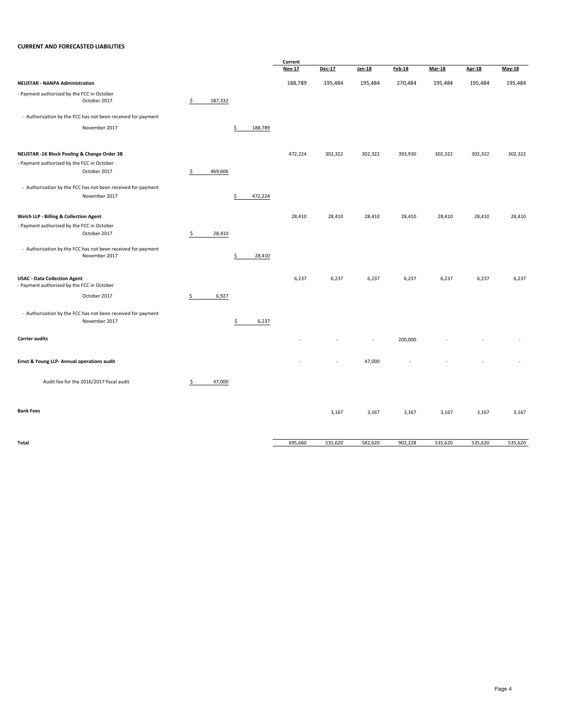#### **CURRENT AND FORECASTED LIABILITIES**

|                                                                                   |               |               | Current       |         |         |               |               |               |          |
|-----------------------------------------------------------------------------------|---------------|---------------|---------------|---------|---------|---------------|---------------|---------------|----------|
|                                                                                   |               |               | <b>Nov-17</b> | Dec-17  | Jan-18  | <b>Feb-18</b> | <b>Mar-18</b> | <b>Apr-18</b> | $May-18$ |
| <b>NEUSTAR - NANPA Administration</b>                                             |               |               | 188,789       | 195,484 | 195,484 | 270,484       | 195,484       | 195,484       | 195,484  |
| - Payment authorized by the FCC in October<br>October 2017                        | \$<br>187,332 |               |               |         |         |               |               |               |          |
| - Authorization by the FCC has not been received for payment                      |               |               |               |         |         |               |               |               |          |
| November 2017                                                                     |               | \$<br>188,789 |               |         |         |               |               |               |          |
| NEUSTAR -1K Block Pooling & Change Order 3B                                       |               |               | 472,224       | 302,322 | 302,322 | 393,930       | 302,322       | 302,322       | 302,322  |
| - Payment authorized by the FCC in October                                        |               |               |               |         |         |               |               |               |          |
| October 2017                                                                      | \$<br>469,606 |               |               |         |         |               |               |               |          |
| - Authorization by the FCC has not been received for payment                      |               |               |               |         |         |               |               |               |          |
| November 2017                                                                     |               | \$<br>472,224 |               |         |         |               |               |               |          |
| Welch LLP - Billing & Collection Agent                                            |               |               | 28,410        | 28,410  | 28,410  | 28,410        | 28,410        | 28,410        | 28,410   |
| - Payment authorized by the FCC in October                                        |               |               |               |         |         |               |               |               |          |
| October 2017                                                                      | \$<br>28,410  |               |               |         |         |               |               |               |          |
| - Authorization by the FCC has not been received for payment                      |               |               |               |         |         |               |               |               |          |
| November 2017                                                                     |               | \$<br>28,410  |               |         |         |               |               |               |          |
| <b>USAC - Data Collection Agent</b><br>- Payment authorized by the FCC in October |               |               | 6,237         | 6,237   | 6,237   | 6,237         | 6,237         | 6,237         | 6,237    |
| October 2017                                                                      | \$<br>6,927   |               |               |         |         |               |               |               |          |
| - Authorization by the FCC has not been received for payment<br>November 2017     |               | \$<br>6,237   |               |         |         |               |               |               |          |
| <b>Carrier audits</b>                                                             |               |               |               |         |         | 200,000       |               |               |          |
| Ernst & Young LLP- Annual operations audit                                        |               |               |               |         | 47,000  |               |               |               |          |
| Audit fee for the 2016/2017 fiscal audit                                          | \$<br>47,000  |               |               |         |         |               |               |               |          |
| <b>Bank Fees</b>                                                                  |               |               |               | 3,167   | 3,167   | 3,167         | 3,167         | 3,167         | 3,167    |
| Total                                                                             |               |               | 695,660       | 535,620 | 582,620 | 902,228       | 535,620       | 535,620       | 535,620  |